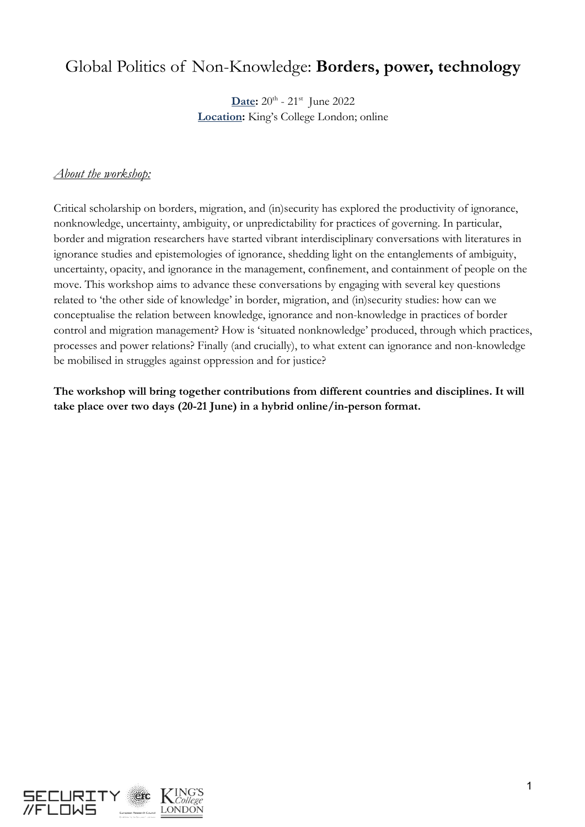## Global Politics of Non-Knowledge: **Borders, power, technology**

**Date:**  $20^{\text{th}}$  -  $21^{\text{st}}$  June 2022 **Location:** King's College London; online

## *About the workshop:*

Critical scholarship on borders, migration, and (in)security has explored the productivity of ignorance, nonknowledge, uncertainty, ambiguity, or unpredictability for practices of governing. In particular, border and migration researchers have started vibrant interdisciplinary conversations with literatures in ignorance studies and epistemologies of ignorance, shedding light on the entanglements of ambiguity, uncertainty, opacity, and ignorance in the management, confinement, and containment of people on the move. This workshop aims to advance these conversations by engaging with several key questions related to 'the other side of knowledge' in border, migration, and (in)security studies: how can we conceptualise the relation between knowledge, ignorance and non-knowledge in practices of border control and migration management? How is 'situated nonknowledge' produced, through which practices, processes and power relations? Finally (and crucially), to what extent can ignorance and non-knowledge be mobilised in struggles against oppression and for justice?

**The workshop will bring together contributions from different countries and disciplines. It will take place over two days (20-21 June) in a hybrid online/in-person format.**

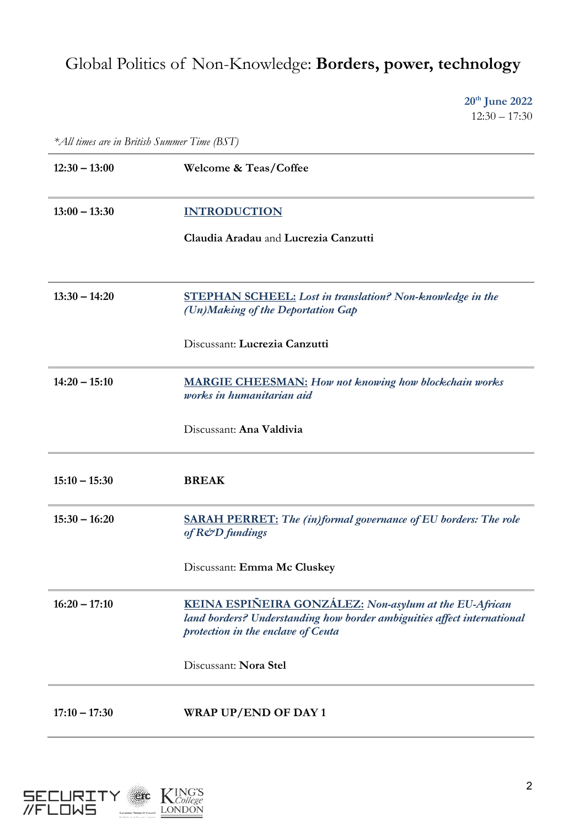## Global Politics of Non-Knowledge: **Borders, power, technology**

**20th June 2022**  $12:30 - 17:30$ 

*\*All times are in British Summer Time (BST)*

| $12:30 - 13:00$ | Welcome & Teas/Coffee                                                                                                                                                   |
|-----------------|-------------------------------------------------------------------------------------------------------------------------------------------------------------------------|
| $13:00 - 13:30$ | <b>INTRODUCTION</b>                                                                                                                                                     |
|                 | Claudia Aradau and Lucrezia Canzutti                                                                                                                                    |
|                 |                                                                                                                                                                         |
| $13:30 - 14:20$ | <b>STEPHAN SCHEEL:</b> Lost in translation? Non-knowledge in the<br>(Un)Making of the Deportation Gap                                                                   |
|                 | Discussant: Lucrezia Canzutti                                                                                                                                           |
| $14:20 - 15:10$ | <b>MARGIE CHEESMAN:</b> How not knowing how blockchain works<br>works in humanitarian aid                                                                               |
|                 | Discussant: Ana Valdivia                                                                                                                                                |
| $15:10 - 15:30$ | <b>BREAK</b>                                                                                                                                                            |
| $15:30 - 16:20$ | <b>SARAH PERRET:</b> The (in)formal governance of EU borders: The role<br>of R&D fundings                                                                               |
|                 | Discussant: Emma Mc Cluskey                                                                                                                                             |
| $16:20 - 17:10$ | KEINA ESPIÑEIRA GONZÁLEZ: Non-asylum at the EU-African<br>land borders? Understanding how border ambiguities affect international<br>protection in the enclave of Ceuta |
|                 | Discussant: Nora Stel                                                                                                                                                   |
| $17:10 - 17:30$ | <b>WRAP UP/END OF DAY 1</b>                                                                                                                                             |